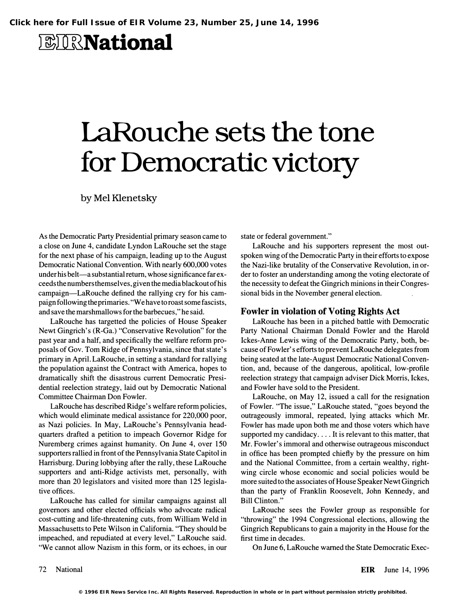# *BIRNational*

# LaRouche sets the tone for Democratic victory

by Mel Klenetsky

As the Democratic Party Presidential primary season came to a close on June 4, candidate Lyndon LaRouche set the stage for the next phase of his campaign, leading up to the August Democratic National Convention. With nearly 600,000 votes under his belt—a substantial return, whose significance far exceeds the numbers themselves, given the media blackout of his campaign-LaRouche defined the rallying cry for his campaign following the primaries. "We have to roast some fascists, and save the marshmallows for the barbecues," he said.

LaRouche has targetted the policies of House Speaker Newt Gingrich's (R-Ga.) "Conservative Revolution" for the past year and a half, and specifically the welfare reform proposals of Gov. Tom Ridge of Pennsylvania, since that state's primary in April. LaRouche, in setting a standard for rallying the population against the Contract with America, hopes to dramatically shift the disastrous current Democratic Presidential reelection strategy, laid out by Democratic National Committee Chairman Don Fowler.

LaRouche has described Ridge's welfare reform policies, which would eliminate medical assistance for 220,000 poor, as Nazi policies. In May, LaRouche's Pennsylvania headquarters drafted a petition to impeach Governor Ridge for Nuremberg crimes against humanity. On June 4, over 150 supporters rallied in front of the Pennsylvania State Capitol in Harrisburg. During lobbying after the rally, these LaRouche supporters and anti-Ridge activists met, personally, with more than 20 legislators and visited more than 125 legislative offices.

LaRouche has called for similar campaigns against all governors and other elected officials who advocate radical cost-cutting and life-threatening cuts, from William Weld in Massachusetts to Pete Wilson in California. "They should be impeached, and repudiated at every level," LaRouche said. "We cannot allow Nazism in this form, or its echoes, in our

state or federal government."

LaRouche and his supporters represent the most outspoken wing of the Democratic Party in their efforts to expose the Nazi-like brutality of the Conservative Revolution, in order to foster an understanding among the voting electorate of the necessity to defeat the Gingrich minions in their Congressional bids in the November general election.

#### Fowler in violation of Voting Rights Act

LaRouche has been in a pitched battle with Democratic Party National Chairman Donald Fowler and the Harold Ickes-Anne Lewis wing of the Democratic Party, both, because of Fowler' s efforts to prevent LaRouche delegates from being seated at the late-August Democratic National Convention, and, because of the dangerous, apolitical, low-profile reelection strategy that campaign adviser Dick Morris, Ickes, and Fowler have sold to the President.

LaRouche, on May 12, issued a call for the resignation of Fowler. "The issue," LaRouche stated, "goes beyond the outrageously immoral, repeated, lying attacks which Mr. Fowler has made upon both me and those voters which have supported my candidacy .... It is relevant to this matter, that Mr. Fowler's immoral and otherwise outrageous misconduct in office has been prompted chiefly by the pressure on him and the National Committee, from a certain wealthy, rightwing circle whose economic and social policies would be more suited to the associates of House Speaker Newt Gingrich than the party of Franklin Roosevelt, John Kennedy, and Bill Clinton."

LaRouche sees the Fowler group as responsible for "throwing" the 1994 Congressional elections, allowing the Gingrich Republicans to gain a majority in the House for the first time in decades.

On June 6, LaRouche warned the State Democratic Exec-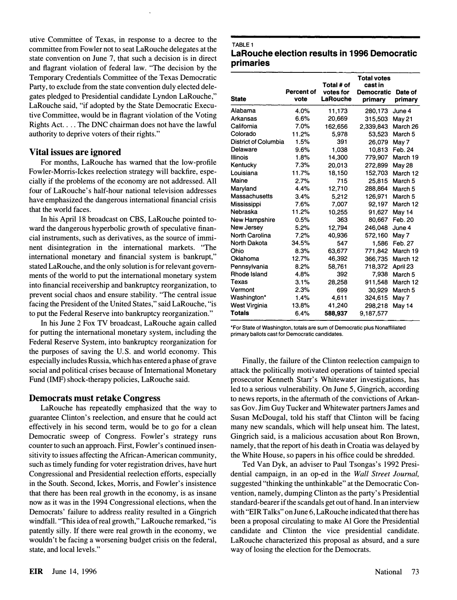utive Committee of Texas, in response to a decree to the committee from Fowler not to seat LaRouche delegates at the state convention on June 7, that such a decision is in direct and flagrant violation of federal law. "The decision by the Temporary Credentials Committee of the Texas Democratic Party, to exclude from the state convention duly elected delegates pledged to Presidential candidate Lyndon LaRouche, " LaRouche said, "if adopted by the State Democratic Executive Committee, would be in flagrant violation of the Voting Rights Act. ... The DNC chairman does not have the lawful authority to deprive voters of their rights."

## Vital issues are ignored

For months, LaRouche has warned that the low-profile Fowler-Morris-Ickes reelection strategy will backfire, especially if the problems of the economy are not addressed. All four of LaRouche's half-hour national television addresses have emphasized the dangerous international financial crisis that the world faces.

In his April 18 broadcast on CBS, LaRouche pointed toward the dangerous hyperbolic growth of speculative financial instruments, such as derivatives, as the source of imminent disintegration in the international markets. "The international monetary and financial system is bankrupt," stated LaRouche, and the only solution is for relevant governments of the world to put the international monetary system into financial receivership and bankruptcy reorganization, to prevent social chaos and ensure stability. "The central issue facing the President of the United States, " said LaRouche, "is to put the Federal Reserve into bankruptcy reorganization."

In his June 2 Fox TV broadcast, LaRouche again called for putting the international monetary system, including the Federal Reserve System, into bankruptcy reorganization for the purposes of saving the U.S. and world economy. This especially includes Russia, which has entered a phase of grave social and political crises because of International Monetary Fund (IMF) shock-therapy policies, LaRouche said.

#### Democrats must retake Congress

LaRouche has repeatedly emphasized that the way to guarantee Clinton's reelection, and ensure that he could act effectively in his second term, would be to go for a clean Democratic sweep of Congress. Fowler's strategy runs counter to such an approach. First, Fowler's continued insensitivity to issues affecting the African-American community, such as timely funding for voter registration drives, have hurt Congressional and Presidential reelection efforts, especially in the South. Second, Ickes, Morris, and Fowler's insistence that there has been real growth in the economy, is as insane now as it was in the 1994 Congressional elections, when the Democrats' failure to address reality resulted in a Gingrich windfall. "This idea of real growth, " LaRouche remarked, "is patently silly. If there were real growth in the economy, we wouldn't be facing a worsening budget crisis on the federal, state, and local levels."

# TABLE 1 LaRouche election results in 1996 Democratic primaries

| <b>State</b>          | <b>Percent of</b><br>vote | Total # of<br>votes for<br>LaRouche | <b>Total votes</b><br>cast in<br><b>Democratic</b><br>primary | Date of<br>primary |
|-----------------------|---------------------------|-------------------------------------|---------------------------------------------------------------|--------------------|
| Alabama               | 4.0%                      | 11,173                              | 280,173                                                       | June 4             |
| <b>Arkansas</b>       | 6.6%                      | 20.669                              | 315,503                                                       | <b>May 21</b>      |
| California            | 7.0%                      | 162,656                             | 2,339,843                                                     | March 26           |
| Colorado              | 11.2%                     | 5.978                               | 53,523                                                        | March 5            |
| District of Columbia  | 1.5%                      | 391                                 | 26,079                                                        | May 7              |
| Delaware              | 9.6%                      | 1.038                               | 10.813                                                        | Feb. 24            |
| <b>Illinois</b>       | 1.8%                      | 14.300                              | 779,907                                                       | March 19           |
| Kentucky              | 7.3%                      | 20.013                              | 272.899                                                       | <b>May 28</b>      |
| Louisiana             | 11.7%                     | 18.150                              | 152,703                                                       | March 12           |
| Maine                 | 2.7%                      | 715                                 | 25,815                                                        | March 5            |
| Maryland              | 4.4%                      | 12.710                              | 288.864                                                       | March 5            |
| Massachusetts         | 3.4%                      | 5.212                               | 126.971                                                       | March 5            |
| Mississippi           | 7.6%                      | 7.007                               | 92.197                                                        | March 12           |
| Nebraska              | 11.2%                     | 10.255                              | 91.627                                                        | May 14             |
| <b>New Hampshire</b>  | 0.5%                      | 363                                 | 80.667                                                        | Feb. 20            |
| <b>New Jersey</b>     | 5.2%                      | 12,794                              | 246.048                                                       | June 4             |
| <b>North Carolina</b> | 7.2%                      | 40.936                              | 572.160                                                       | May 7              |
| North Dakota          | 34.5%                     | 547                                 | 1.586                                                         | Feb. 27            |
| Ohio                  | 8.3%                      | 63,677                              | 771.842                                                       | March 19           |
| Oklahoma              | 12.7%                     | 46.392                              | 366,735                                                       | March 12           |
| Pennsylvania          | 8.2%                      | 58,761                              | 718,372                                                       | April 23           |
| Rhode Island          | 4.8%                      | 392                                 | 7,938                                                         | March 5            |
| Texas                 | 3.1%                      | 28,258                              | 911.548                                                       | March 12           |
| Vermont               | 2.3%                      | 699                                 | 30,929                                                        | March <sub>5</sub> |
| Washington*           | 1.4%                      | 4.611                               | 324,615                                                       | May 7              |
| West Virginia         | 13.8%                     | 41.240                              | 298,218                                                       | May 14             |
| <b>Totals</b>         | 6.4%                      | 588,937                             | 9,187,577                                                     |                    |

'For State of Washington, totals are sum of Democratic plus Nonaffiliated primary ballots cast for Democratic candidates.

Finally, the failure of the Clinton reelection campaign to attack the politically motivated operations of tainted special prosecutor Kenneth Starr's Whitewater investigations, has led to a serious vulnerability. On June 5, Gingrich, according to news reports, in the aftermath of the convictions of Arkansas Gov. Jim Guy Tucker and Whitewater partners James and Susan McDougal, told his staff that Clinton will be facing many new scandals, which will help unseat him. The latest, Gingrich said, is a malicious accusation about Ron Brown, namely, that the report of his death in Croatia was delayed by the White House, so papers in his office could be shredded.

Ted Van Dyk, an adviser to Paul Tsongas's 1992 Presidential campaign, in an op-ed in the Wall Street Journal, suggested "thinking the unthinkable" at the Democratic Convention, namely, dumping Clinton as the party's Presidential standard-bearer if the scandals get out of hand. In an interview with "EIR Talks" on June 6, LaRouche indicated that there has been a proposal circulating to make Al Gore the Presidential candidate and Clinton the vice presidential candidate. LaRouche characterized this proposal as absurd, and a sure way of losing the election for the Democrats.